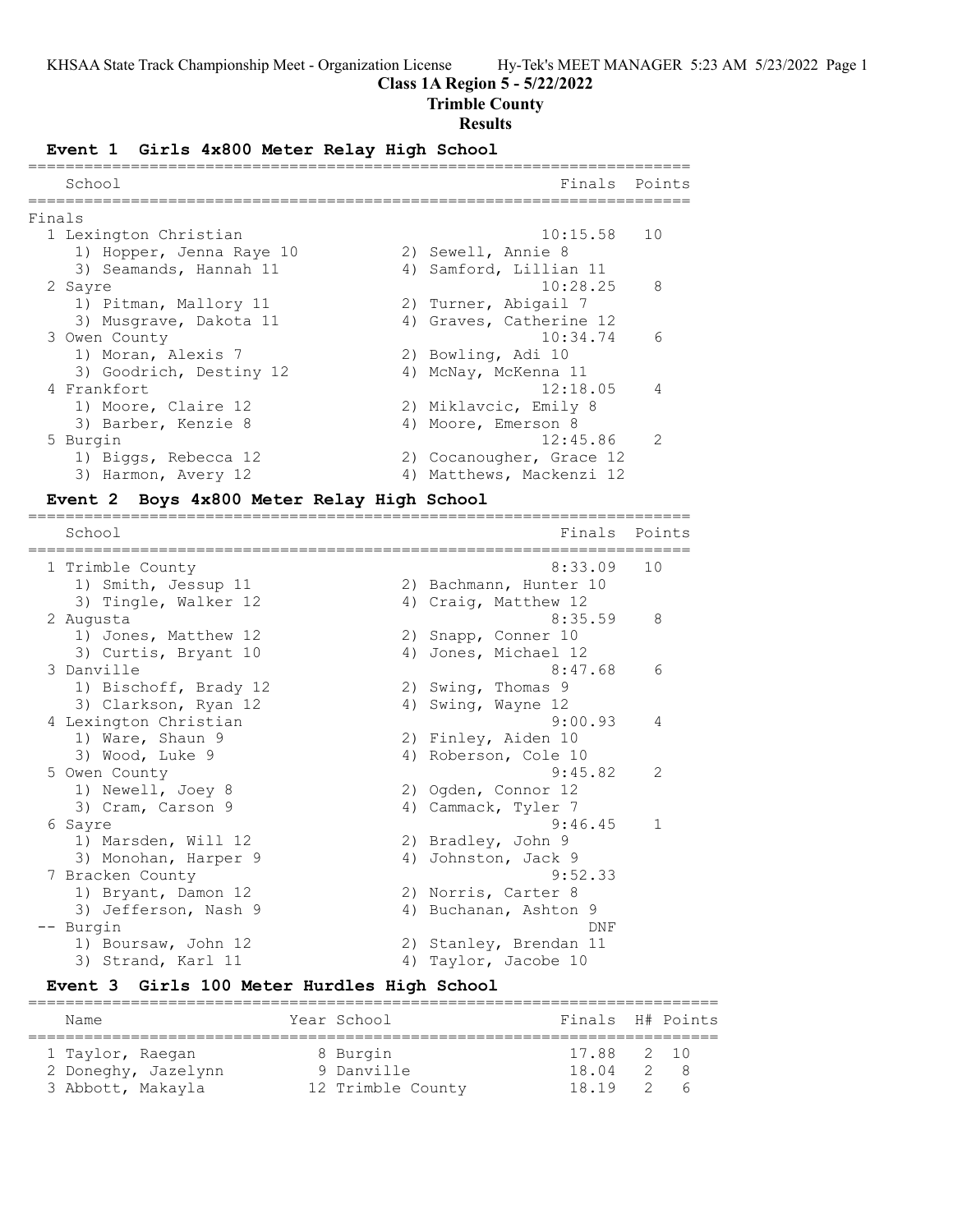### **Class 1A Region 5 - 5/22/2022**

# **Trimble County**

### **Results**

#### **Event 1 Girls 4x800 Meter Relay High School**

|        | School                   | Finals                   | Points                   |
|--------|--------------------------|--------------------------|--------------------------|
| Finals |                          |                          |                          |
|        | 1 Lexington Christian    | $10:15.58$ 10            |                          |
|        | 1) Hopper, Jenna Raye 10 | 2) Sewell, Annie 8       |                          |
|        | 3) Seamands, Hannah 11   | 4) Samford, Lillian 11   |                          |
|        | 2 Sayre                  | 10:28.25                 | $\mathcal{R}$            |
|        | 1) Pitman, Mallory 11    | 2) Turner, Abigail 7     |                          |
|        | 3) Musgrave, Dakota 11   | 4) Graves, Catherine 12  |                          |
|        | 3 Owen County            | 10:34.74                 | $\epsilon$               |
|        | 1) Moran, Alexis 7       | 2) Bowling, Adi 10       |                          |
|        | 3) Goodrich, Destiny 12  | 4) McNay, McKenna 11     |                          |
|        | 4 Frankfort              | 12:18.05                 | $\overline{4}$           |
|        | 1) Moore, Claire 12      | 2) Miklavcic, Emily 8    |                          |
|        | 3) Barber, Kenzie 8      | 4) Moore, Emerson 8      |                          |
|        | 5 Burgin                 | 12:45.86                 | $\overline{\phantom{a}}$ |
|        | 1) Biggs, Rebecca 12     | 2) Cocanougher, Grace 12 |                          |
|        | 3) Harmon, Avery 12      | 4) Matthews, Mackenzi 12 |                          |
|        |                          |                          |                          |

=======================================================================

### **Event 2 Boys 4x800 Meter Relay High School**

School **Finals** Points ======================================================================= 1 Trimble County 8:33.09 10 1) Smith, Jessup 11 2) Bachmann, Hunter 10 3) Tingle, Walker 12 4) Craig, Matthew 12 2 Augusta 8:35.59 8 1) Jones, Matthew 12 2) Snapp, Conner 10 3) Curtis, Bryant 10 (4) Jones, Michael 12 3 Danville 6:47.68 6 1) Bischoff, Brady 12 2) Swing, Thomas 9 3) Clarkson, Ryan 12 4) Swing, Wayne 12 4 Lexington Christian 9:00.93 4 1) Ware, Shaun 9 2) Finley, Aiden 10 3) Wood, Luke 9 4) Roberson, Cole 10 5 Owen County 9:45.82 2 1) Newell, Joey 8 2) Ogden, Connor 12 3) Cram, Carson 9 (4) Cammack, Tyler 7 6 Sayre 9:46.45 1 1) Marsden, Will 12 2) Bradley, John 9 3) Monohan, Harper 9 (4) Johnston, Jack 9 7 Bracken County 9:52.33 1) Bryant, Damon 12 2) Norris, Carter 8 3) Jefferson, Nash 9 4) Buchanan, Ashton 9 -- Burgin DNF 1) Boursaw, John 12 2) Stanley, Brendan 11 3) Strand, Karl 11 4) Taylor, Jacobe 10

# **Event 3 Girls 100 Meter Hurdles High School**

| Name                                    | Year School            | Finals H# Points    |            |
|-----------------------------------------|------------------------|---------------------|------------|
| 1 Taylor, Raegan<br>2 Doneghy, Jazelynn | 8 Burgin<br>9 Danville | 17.88 2 10<br>18.04 | 2 8        |
| 3 Abbott, Makayla                       | 12 Trimble County      | 18.19 2             | $\epsilon$ |

==========================================================================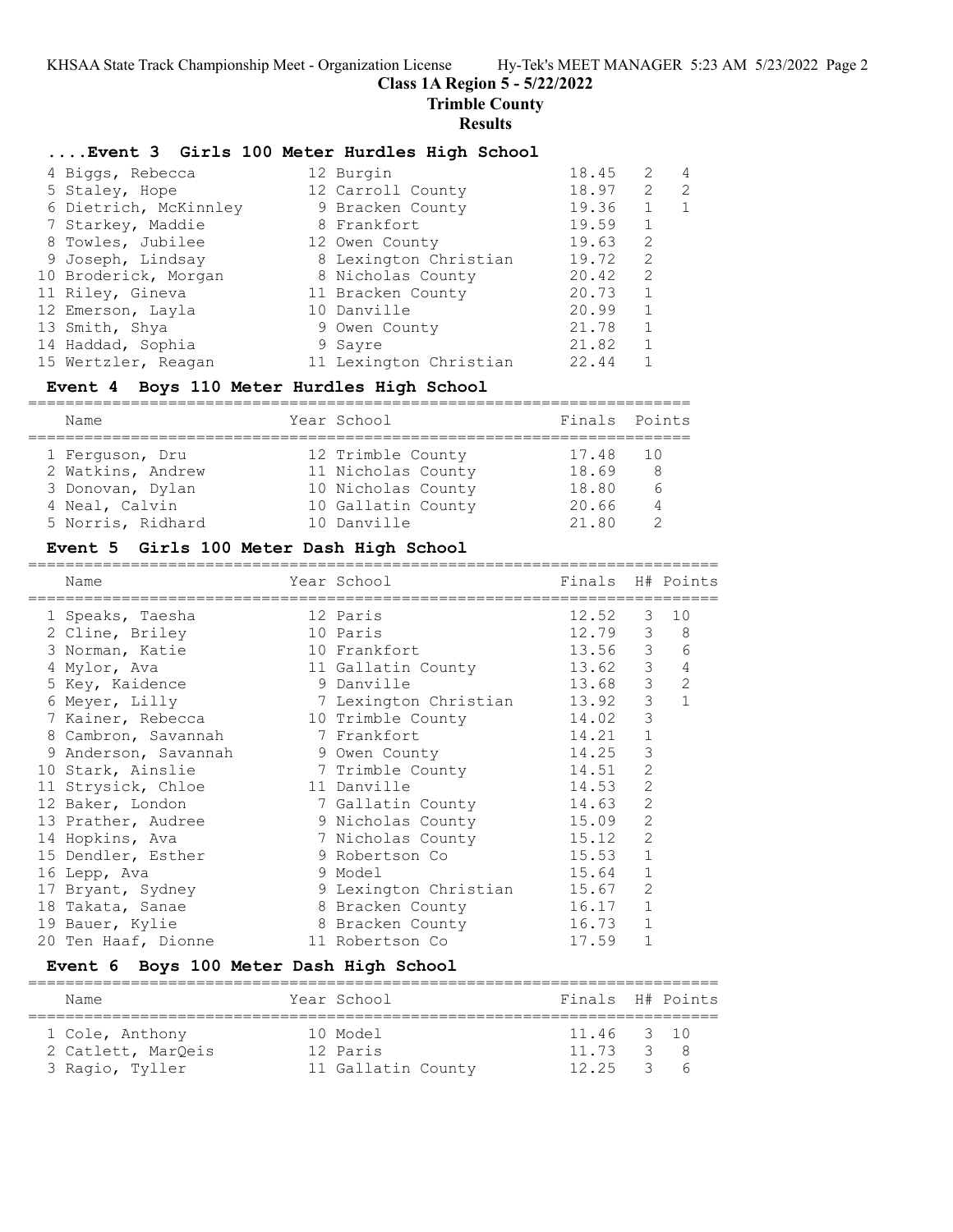**Trimble County**

### **Results**

## **....Event 3 Girls 100 Meter Hurdles High School**

| 4 Biggs, Rebecca      | 12 Burgin              | 18.45 | 2            | 4  |
|-----------------------|------------------------|-------|--------------|----|
| 5 Staley, Hope        | 12 Carroll County      | 18.97 | 2            | -2 |
| 6 Dietrich, McKinnley | 9 Bracken County       | 19.36 |              | 1  |
| 7 Starkey, Maddie     | 8 Frankfort            | 19.59 | 1            |    |
| 8 Towles, Jubilee     | 12 Owen County         | 19.63 | 2            |    |
| 9 Joseph, Lindsay     | 8 Lexington Christian  | 19.72 | 2            |    |
| 10 Broderick, Morgan  | 8 Nicholas County      | 20.42 | 2            |    |
| 11 Riley, Gineva      | 11 Bracken County      | 20.73 | $\mathbf{1}$ |    |
| 12 Emerson, Layla     | 10 Danville            | 20.99 | 1            |    |
| 13 Smith, Shya        | 9 Owen County          | 21.78 | 1            |    |
| 14 Haddad, Sophia     | 9 Sayre                | 21.82 | $\mathbf{1}$ |    |
| 15 Wertzler, Reagan   | 11 Lexington Christian | 22.44 | $\mathbf{1}$ |    |

# **Event 4 Boys 110 Meter Hurdles High School**

| Name              | Year School        | Finals Points |    |
|-------------------|--------------------|---------------|----|
| 1 Ferquson, Dru   | 12 Trimble County  | 17.48 10      |    |
| 2 Watkins, Andrew | 11 Nicholas County | 18.69         | -8 |
| 3 Donovan, Dylan  | 10 Nicholas County | 18.80         | 6  |
| 4 Neal, Calvin    | 10 Gallatin County | 20.66         | 4  |
| 5 Norris, Ridhard | 10 Danville        | 21.80         |    |

### **Event 5 Girls 100 Meter Dash High School**

| Name<br>------------------ | Year School           | Finals H# Points |                |              |
|----------------------------|-----------------------|------------------|----------------|--------------|
| 1 Speaks, Taesha           | 12 Paris              | 12.52            | 3              | 10           |
| 2 Cline, Briley            | 10 Paris              | 12.79            |                | $3 \quad 8$  |
| 3 Norman, Katie            | 10 Frankfort          | 13.56            | $\mathcal{S}$  | 6            |
| 4 Mylor, Ava               | 11 Gallatin County    | 13.62            | 3              | 4            |
| 5 Key, Kaidence            | 9 Danville            | 13.68            | 3 <sup>7</sup> | 2            |
| 6 Meyer, Lilly             | 7 Lexington Christian | 13.92            | 3              | $\mathbf{1}$ |
| 7 Kainer, Rebecca          | 10 Trimble County     | 14.02            | 3              |              |
| 8 Cambron, Savannah        | 7 Frankfort           | 14.21            | $\mathbf{1}$   |              |
| 9 Anderson, Savannah       | 9 Owen County         | 14.25            | 3              |              |
| 10 Stark, Ainslie          | 7 Trimble County      | 14.51            | 2              |              |
| 11 Strysick, Chloe         | 11 Danville           | 14.53            | $\overline{c}$ |              |
| 12 Baker, London           | 7 Gallatin County     | 14.63            | $\overline{2}$ |              |
| 13 Prather, Audree         | 9 Nicholas County     | 15.09            | 2              |              |
| 14 Hopkins, Ava            | 7 Nicholas County     | 15.12            | 2              |              |
| 15 Dendler, Esther         | 9 Robertson Co        | 15.53            | $\mathbf{1}$   |              |
| 16 Lepp, Ava               | 9 Model               | 15.64            | $\mathbf{1}$   |              |
| 17 Bryant, Sydney          | 9 Lexington Christian | 15.67            | 2              |              |
| 18 Takata, Sanae           | 8 Bracken County      | 16.17            | $\mathbf 1$    |              |
| 19 Bauer, Kylie            | 8 Bracken County      | 16.73            | $\mathbf{1}$   |              |
| 20 Ten Haaf, Dionne        | 11 Robertson Co       | 17.59            |                |              |
|                            |                       |                  |                |              |

# **Event 6 Boys 100 Meter Dash High School**

| Name               | Year School        | Finals H# Points |                  |
|--------------------|--------------------|------------------|------------------|
|                    |                    |                  |                  |
| 1 Cole, Anthony    | 10 Model           | 11.46 3 10       |                  |
| 2 Catlett, MarQeis | 12 Paris           | 11.73            | 3 8              |
| 3 Ragio, Tyller    | 11 Gallatin County | 12.25            | $\overline{3}$ 6 |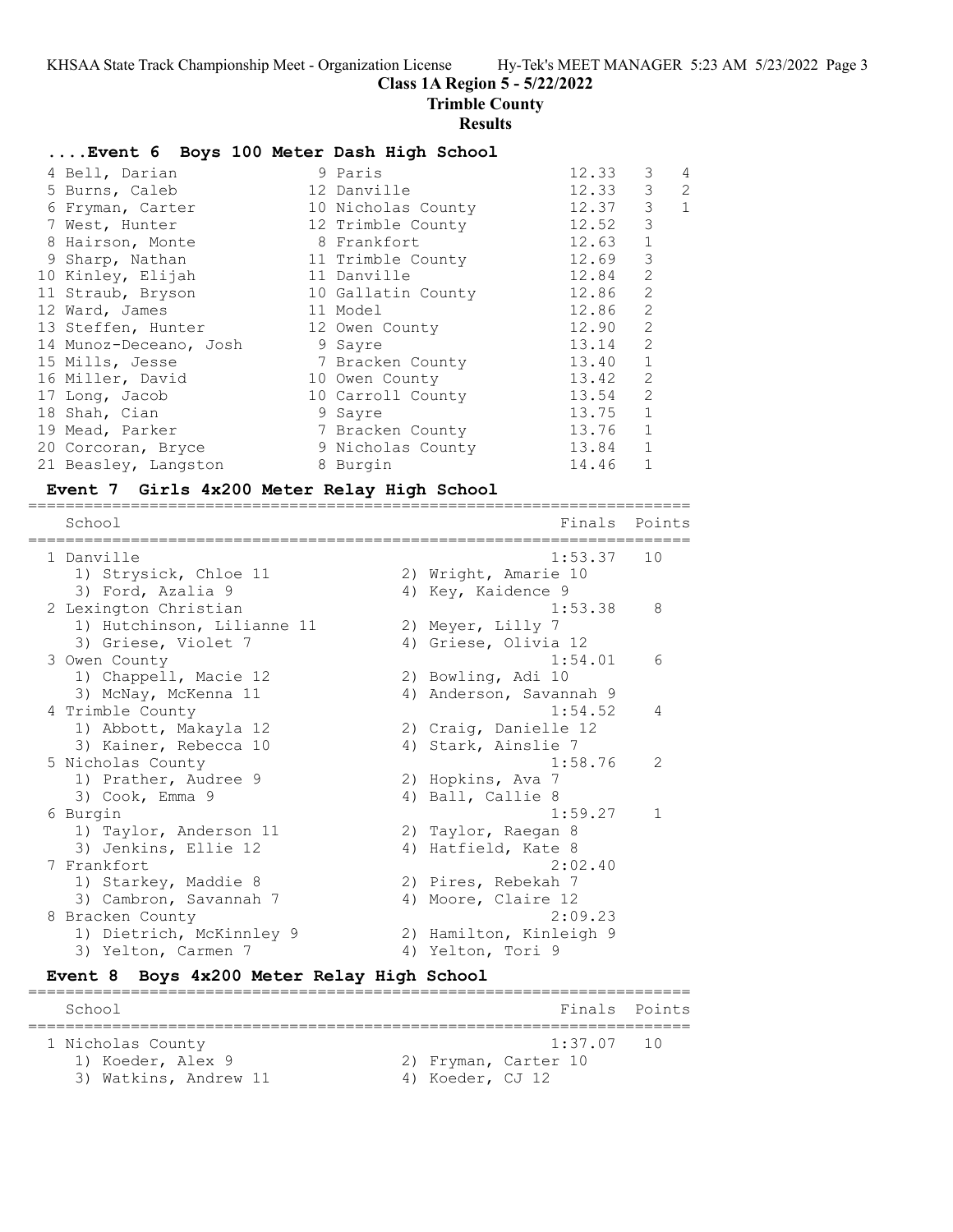**Class 1A Region 5 - 5/22/2022**

**Trimble County**

#### **Results**

### **....Event 6 Boys 100 Meter Dash High School**

| 4 Bell, Darian         | 9 Paris            | 12.33 | 3              | 4            |
|------------------------|--------------------|-------|----------------|--------------|
| 5 Burns, Caleb         | 12 Danville        | 12.33 | 3              | 2            |
| 6 Fryman, Carter       | 10 Nicholas County | 12.37 | 3              | $\mathbf{1}$ |
| 7 West, Hunter         | 12 Trimble County  | 12.52 | 3              |              |
| 8 Hairson, Monte       | 8 Frankfort        | 12.63 | $1\,$          |              |
| 9 Sharp, Nathan        | 11 Trimble County  | 12.69 | 3              |              |
| 10 Kinley, Elijah      | 11 Danville        | 12.84 | $\overline{2}$ |              |
| 11 Straub, Bryson      | 10 Gallatin County | 12.86 | $\overline{c}$ |              |
| 12 Ward, James         | 11 Model           | 12.86 | $\overline{c}$ |              |
| 13 Steffen, Hunter     | 12 Owen County     | 12.90 | $\overline{c}$ |              |
| 14 Munoz-Deceano, Josh | 9 Sayre            | 13.14 | $\overline{2}$ |              |
| 15 Mills, Jesse        | 7 Bracken County   | 13.40 | $\mathbf{1}$   |              |
| 16 Miller, David       | 10 Owen County     | 13.42 | $\overline{2}$ |              |
| 17 Long, Jacob         | 10 Carroll County  | 13.54 | $\overline{2}$ |              |
| 18 Shah, Cian          | 9 Sayre            | 13.75 | $\mathbf{1}$   |              |
| 19 Mead, Parker        | 7 Bracken County   | 13.76 | $\mathbf{1}$   |              |
| 20 Corcoran, Bryce     | 9 Nicholas County  | 13.84 | $\mathbf{1}$   |              |
| 21 Beasley, Langston   | 8 Burgin           | 14.46 |                |              |

=======================================================================

#### **Event 7 Girls 4x200 Meter Relay High School**

School **Finals** Points ======================================================================= 1 Danville 1:53.37 10 1) Strysick, Chloe 11 2) Wright, Amarie 10 3) Ford, Azalia 9 4) Key, Kaidence 9 2 Lexington Christian 1:53.38 8 1) Hutchinson, Lilianne 11 and 2) Meyer, Lilly 7 3) Griese, Violet 7 (4) Griese, Olivia 12 3 Owen County 1:54.01 6 1) Chappell, Macie 12 2) Bowling, Adi 10 3) McNay, McKenna 11  $\hskip1cm \hskip1cm 4$ ) Anderson, Savannah 9 4 Trimble County 1:54.52 4 1) Abbott, Makayla 12 2) Craig, Danielle 12 3) Kainer, Rebecca 10  $\hskip1cm$  4) Stark, Ainslie 7 5 Nicholas County 1:58.76 2 1) Prather, Audree 9 2) Hopkins, Ava 7 3) Cook, Emma 9 4) Ball, Callie 8 6 Burgin 1:59.27 1 1) Taylor, Anderson 11 120 20 Taylor, Raegan 8 3) Jenkins, Ellie 12 and 4) Hatfield, Kate 8 7 Frankfort 2:02.40 1) Starkey, Maddie 8 2) Pires, Rebekah 7 3) Cambron, Savannah 7 (4) Moore, Claire 12 8 Bracken County 2:09.23 1) Dietrich, McKinnley 9 2) Hamilton, Kinleigh 9 3) Yelton, Carmen 7 4) Yelton, Tori 9

#### **Event 8 Boys 4x200 Meter Relay High School**

======================================================================= School **Finals** Points **Points** ======================================================================= 1 Nicholas County 1:37.07 10 1) Koeder, Alex 9 2) Fryman, Carter 10 3) Watkins, Andrew 11 4) Koeder, CJ 12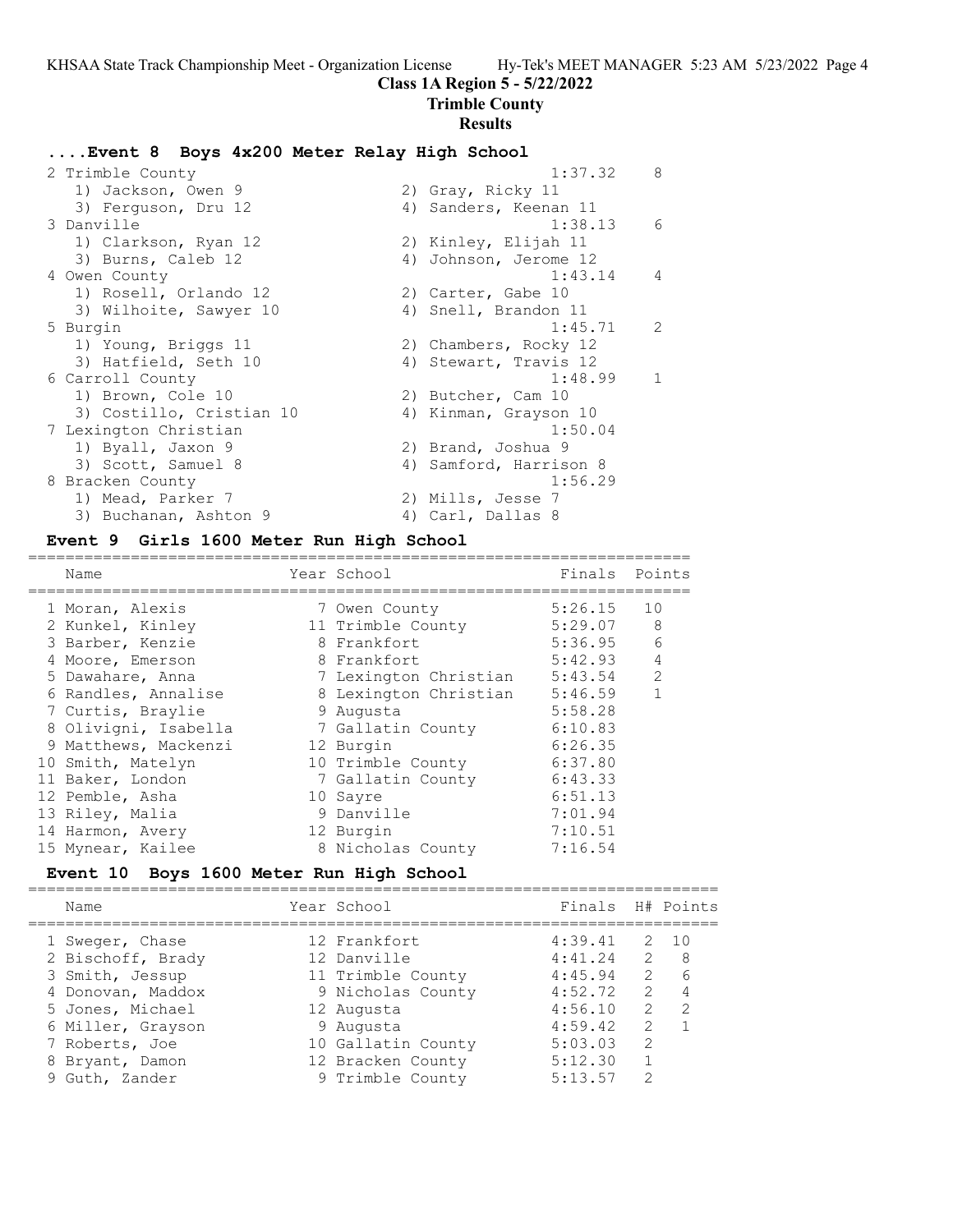### **Trimble County**

#### **Results**

### **....Event 8 Boys 4x200 Meter Relay High School**

| 2 Trimble County         | 1:37.32                | 8              |
|--------------------------|------------------------|----------------|
| 1) Jackson, Owen 9       | 2) Gray, Ricky 11      |                |
| 3) Ferquson, Dru 12      | 4) Sanders, Keenan 11  |                |
| 3 Danville               | 1:38.13                | 6              |
| 1) Clarkson, Ryan 12     | 2) Kinley, Elijah 11   |                |
| 3) Burns, Caleb 12       | 4) Johnson, Jerome 12  |                |
| 4 Owen County            | 1:43.14                | $\overline{4}$ |
| 1) Rosell, Orlando 12    | 2) Carter, Gabe 10     |                |
| 3) Wilhoite, Sawyer 10   | 4) Snell, Brandon 11   |                |
| 5 Burgin                 | 1:45.71                | $\mathcal{L}$  |
| 1) Young, Briggs 11      | 2) Chambers, Rocky 12  |                |
| 3) Hatfield, Seth 10     | 4) Stewart, Travis 12  |                |
| 6 Carroll County         | 1:48.99                | $\mathbf{1}$   |
| 1) Brown, Cole 10        | 2) Butcher, Cam 10     |                |
| 3) Costillo, Cristian 10 | 4) Kinman, Grayson 10  |                |
| 7 Lexington Christian    | 1:50.04                |                |
| 1) Byall, Jaxon 9        | 2) Brand, Joshua 9     |                |
| 3) Scott, Samuel 8       | 4) Samford, Harrison 8 |                |
| 8 Bracken County         | 1:56.29                |                |
| 1) Mead, Parker 7        | 2) Mills, Jesse 7      |                |
| 3) Buchanan, Ashton 9    | 4) Carl, Dallas 8      |                |

#### **Event 9 Girls 1600 Meter Run High School**

======================================================================= Name **The School School** Finals Points ======================================================================= 1 Moran, Alexis 7 Owen County 5:26.15 10 2 Kunkel, Kinley 11 Trimble County 5:29.07 8 3 Barber, Kenzie 8 Frankfort 5:36.95 6 4 Moore, Emerson 8 Frankfort 5:42.93 4 5 Dawahare, Anna 7 Lexington Christian 5:43.54 2 6 Randles, Annalise 8 Lexington Christian 5:46.59 1 7 Curtis, Braylie 9 Augusta 5:58.28 8 Olivigni, Isabella 7 Gallatin County 6:10.83 9 Matthews, Mackenzi 12 Burgin 6:26.35 10 Smith, Matelyn 10 Trimble County 6:37.80 11 Baker, London 7 Gallatin County 6:43.33 12 Pemble, Asha 10 Sayre 6:51.13 13 Riley, Malia 9 Danville 7:01.94 14 Harmon, Avery 12 Burgin 7:10.51 15 Mynear, Kailee  $\begin{array}{ccc} 8 \text{ Nicholas County} & 7:16.54 \end{array}$ 

### **Event 10 Boys 1600 Meter Run High School**

| Name              | Year School        | Finals H# Points |                |               |
|-------------------|--------------------|------------------|----------------|---------------|
| 1 Sweger, Chase   | 12 Frankfort       | 4:39.41          |                | 2 10          |
| 2 Bischoff, Brady | 12 Danville        | 4:41.24          | $\overline{2}$ | - 8           |
| 3 Smith, Jessup   | 11 Trimble County  | 4:45.94          | $\overline{2}$ | - 6           |
| 4 Donovan, Maddox | 9 Nicholas County  | 4:52.72          | 2              | - 4           |
| 5 Jones, Michael  | 12 Augusta         | 4:56.10          | $2^{\circ}$    | $\mathcal{P}$ |
| 6 Miller, Grayson | 9 Augusta          | 4:59.42          | $\mathcal{L}$  |               |
| 7 Roberts, Joe    | 10 Gallatin County | 5:03.03          | $\mathcal{L}$  |               |
| 8 Bryant, Damon   | 12 Bracken County  | 5:12.30          |                |               |
| 9 Guth, Zander    | 9 Trimble County   | 5:13.57          | $\mathcal{D}$  |               |
|                   |                    |                  |                |               |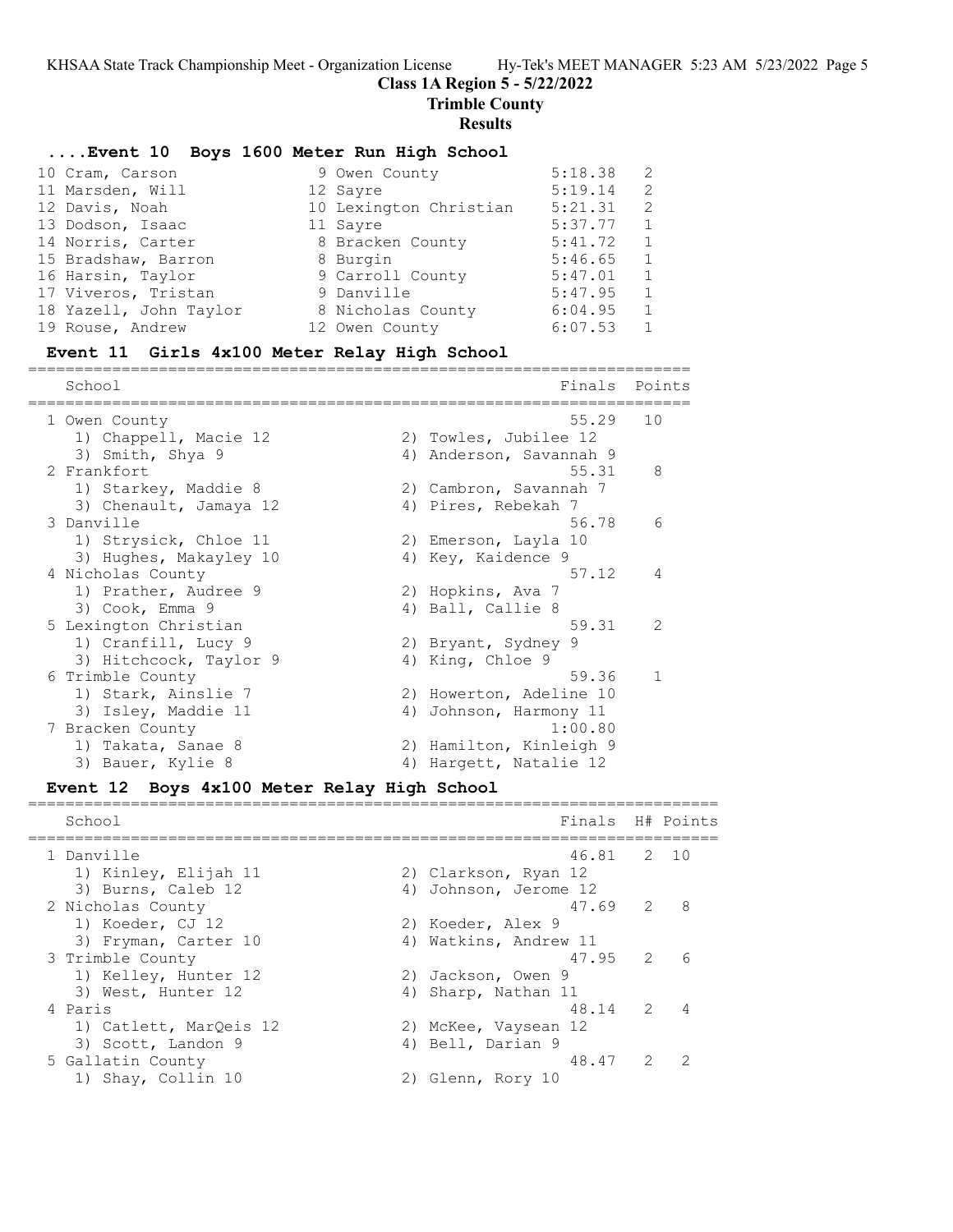## **Class 1A Region 5 - 5/22/2022**

**Trimble County**

#### **Results**

### **....Event 10 Boys 1600 Meter Run High School**

| 10 Cram, Carson        | 9 Owen County          | 5:18.38 | 2            |
|------------------------|------------------------|---------|--------------|
| 11 Marsden, Will       | 12 Sayre               | 5:19.14 | 2            |
| 12 Davis, Noah         | 10 Lexington Christian | 5:21.31 | 2            |
| 13 Dodson, Isaac       | 11 Sayre               | 5:37.77 | $\mathbf{1}$ |
| 14 Norris, Carter      | 8 Bracken County       | 5:41.72 | $\mathbf{1}$ |
| 15 Bradshaw, Barron    | 8 Burgin               | 5:46.65 | 1            |
| 16 Harsin, Taylor      | 9 Carroll County       | 5:47.01 | 1            |
| 17 Viveros, Tristan    | 9 Danville             | 5:47.95 | $\mathbf{1}$ |
| 18 Yazell, John Taylor | 8 Nicholas County      | 6:04.95 | $\mathbf{1}$ |
| 19 Rouse, Andrew       | 12 Owen County         | 6:07.53 | 1            |

=======================================================================

#### **Event 11 Girls 4x100 Meter Relay High School**

School **Finals** Points ======================================================================= 1 Owen County 55.29 10 1) Chappell, Macie 12 2) Towles, Jubilee 12 3) Smith, Shya 9 4) Anderson, Savannah 9 2 Frankfort 55.31 8 1) Starkey, Maddie 8 2) Cambron, Savannah 7 3) Chenault, Jamaya 12 (4) Pires, Rebekah 7 3 Danville 56.78 6 1) Strysick, Chloe 11 2) Emerson, Layla 10 3) Hughes, Makayley 10  $\hskip 1.6cm 4$ ) Key, Kaidence 9 4 Nicholas County 57.12 4 1) Prather, Audree 9 2) Hopkins, Ava 7 3) Cook, Emma 9 4) Ball, Callie 8 5 Lexington Christian 59.31 2 1) Cranfill, Lucy 9 2) Bryant, Sydney 9 3) Hitchcock, Taylor 9 (4) King, Chloe 9 6 Trimble County 59.36 1 1) Stark, Ainslie 7 2) Howerton, Adeline 10 3) Isley, Maddie 11 4) Johnson, Harmony 11 7 Bracken County 1:00.80 1) Takata, Sanae 8 2) Hamilton, Kinleigh 9 3) Bauer, Kylie 8 4) Hargett, Natalie 12

### **Event 12 Boys 4x100 Meter Relay High School**

School **Finals** H# Points ========================================================================== 1 Danville 46.81 2 10 1) Kinley, Elijah 11 2) Clarkson, Ryan 12 3) Burns, Caleb 12 4) Johnson, Jerome 12 2 Nicholas County 47.69 2 8 1) Koeder, CJ 12 2) Koeder, Alex 9 3) Fryman, Carter 10 4) Watkins, Andrew 11 3 Trimble County 47.95 2 6 1) Kelley, Hunter 12 2) Jackson, Owen 9 3) West, Hunter 12 (4) Sharp, Nathan 11 4 Paris 48.14 2 4 1) Catlett, MarQeis 12 2) McKee, Vaysean 12 3) Scott, Landon 9 (4) Bell, Darian 9 5 Gallatin County 48.47 2 2 1) Shay, Collin 10 2) Glenn, Rory 10

==========================================================================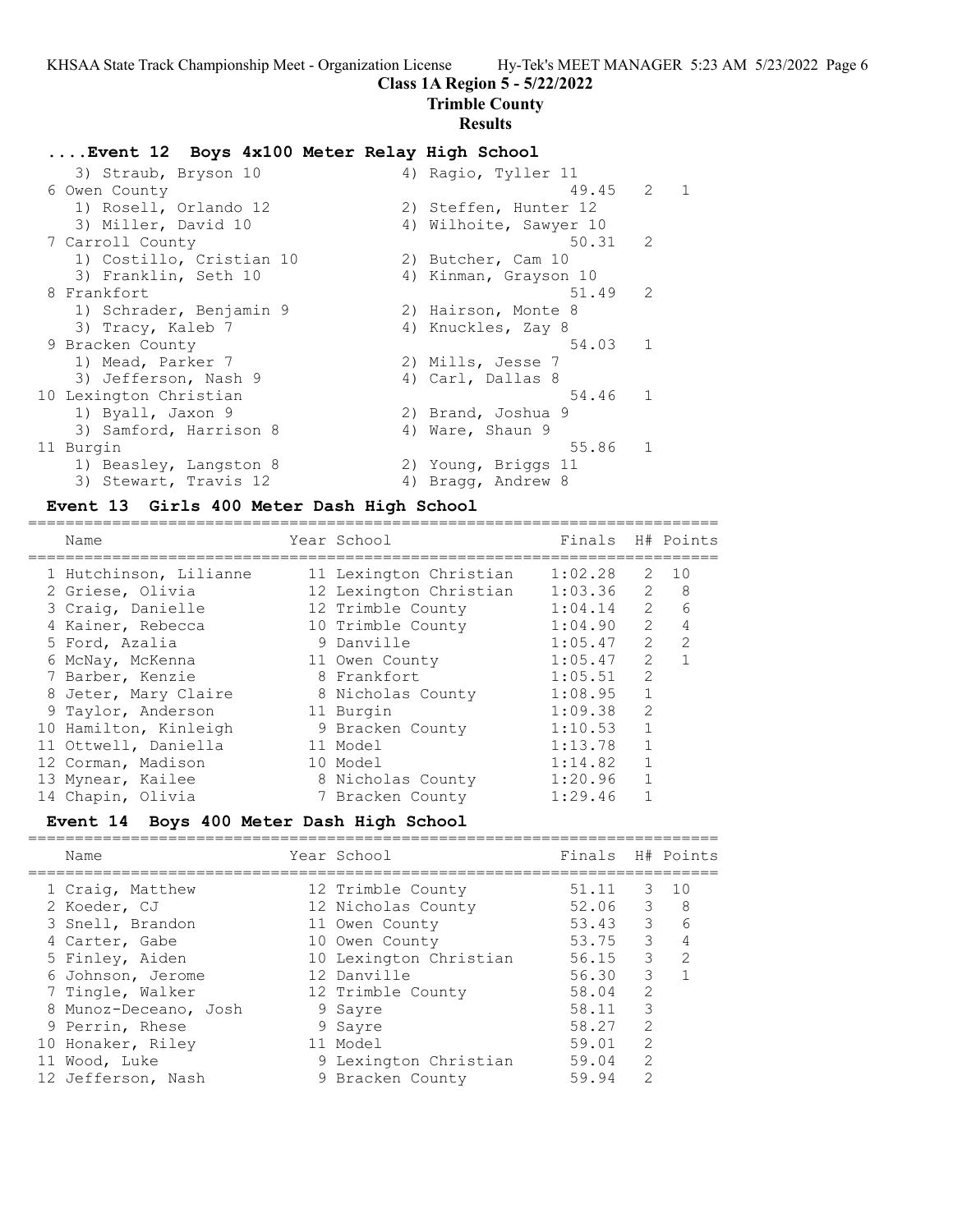# **Class 1A Region 5 - 5/22/2022**

**Trimble County**

# **Results**

## **....Event 12 Boys 4x100 Meter Relay High School**

| 3) Straub, Bryson 10     | 4) Ragio, Tyller 11    |                |  |
|--------------------------|------------------------|----------------|--|
| 6 Owen County            | 49.45                  | $2 \quad 1$    |  |
| 1) Rosell, Orlando 12    | 2) Steffen, Hunter 12  |                |  |
| 3) Miller, David 10      | 4) Wilhoite, Sawyer 10 |                |  |
| 7 Carroll County         | 50.31                  | $\mathcal{P}$  |  |
| 1) Costillo, Cristian 10 | 2) Butcher, Cam 10     |                |  |
| 3) Franklin, Seth 10     | 4) Kinman, Grayson 10  |                |  |
| 8 Frankfort              | 51.49                  | $\mathcal{L}$  |  |
| 1) Schrader, Benjamin 9  | 2) Hairson, Monte 8    |                |  |
| 3) Tracy, Kaleb 7        | 4) Knuckles, Zay 8     |                |  |
| 9 Bracken County         | 54.03 1                |                |  |
| 1) Mead, Parker 7        | 2) Mills, Jesse 7      |                |  |
| 3) Jefferson, Nash 9     | 4) Carl, Dallas 8      |                |  |
| 10 Lexington Christian   | 54.46                  | $\overline{1}$ |  |
| 1) Byall, Jaxon 9        | 2) Brand, Joshua 9     |                |  |
| 3) Samford, Harrison 8   | 4) Ware, Shaun 9       |                |  |
| 11 Burgin                | 55.86                  | $\overline{1}$ |  |
| 1) Beasley, Langston 8   | 2) Young, Briggs 11    |                |  |
| 3) Stewart, Travis 12    | 4) Bragg, Andrew 8     |                |  |

### **Event 13 Girls 400 Meter Dash High School**

| Name                   | Year School            | Finals H# Points |               |                |
|------------------------|------------------------|------------------|---------------|----------------|
| 1 Hutchinson, Lilianne | 11 Lexington Christian | 1:02.28          | $\mathcal{L}$ | 10             |
| 2 Griese, Olivia       | 12 Lexington Christian | 1:03.36          | $\mathcal{L}$ | 8              |
| 3 Craig, Danielle      | 12 Trimble County      | 1:04.14          | $\mathcal{L}$ | 6              |
| 4 Kainer, Rebecca      | 10 Trimble County      | 1:04.90          | $\mathcal{L}$ | $\overline{4}$ |
| 5 Ford, Azalia         | 9 Danville             | 1:05.47          | $\mathcal{P}$ | $\overline{2}$ |
| 6 McNay, McKenna       | 11 Owen County         | 1:05.47          | $\mathcal{P}$ |                |
| 7 Barber, Kenzie       | 8 Frankfort            | 1:05.51          | $\mathcal{P}$ |                |
| 8 Jeter, Mary Claire   | 8 Nicholas County      | 1:08.95          | $\mathbf{1}$  |                |
| 9 Taylor, Anderson     | 11 Burgin              | 1:09.38          | $\mathcal{P}$ |                |
| 10 Hamilton, Kinleigh  | 9 Bracken County       | 1:10.53          |               |                |
| 11 Ottwell, Daniella   | 11 Model               | 1:13.78          |               |                |
| 12 Corman, Madison     | 10 Model               | 1:14.82          |               |                |
| 13 Mynear, Kailee      | 8 Nicholas County      | 1:20.96          |               |                |
| 14 Chapin, Olivia      | 7 Bracken County       | 1:29.46          |               |                |
|                        |                        |                  |               |                |

# **Event 14 Boys 400 Meter Dash High School**

| Name                             | Year School                             | Finals H# Points |                                                                                                                                                                                                                                                                                                                                                                                                                            |               |
|----------------------------------|-----------------------------------------|------------------|----------------------------------------------------------------------------------------------------------------------------------------------------------------------------------------------------------------------------------------------------------------------------------------------------------------------------------------------------------------------------------------------------------------------------|---------------|
| 1 Craig, Matthew<br>2 Koeder, CJ | 12 Trimble County<br>12 Nicholas County | 51.11<br>52.06   | 3<br>$\mathcal{E}$                                                                                                                                                                                                                                                                                                                                                                                                         | 10<br>8       |
| 3 Snell, Brandon                 | 11 Owen County                          | 53.43            | $\mathcal{E}$                                                                                                                                                                                                                                                                                                                                                                                                              | 6             |
| 4 Carter, Gabe                   | 10 Owen County                          | 53.75            | 3                                                                                                                                                                                                                                                                                                                                                                                                                          |               |
| 5 Finley, Aiden                  | 10 Lexington Christian                  | 56.15            | 3                                                                                                                                                                                                                                                                                                                                                                                                                          | $\mathcal{L}$ |
| 6 Johnson, Jerome                | 12 Danville                             | 56.30            | 3                                                                                                                                                                                                                                                                                                                                                                                                                          |               |
| 7 Tingle, Walker                 | 12 Trimble County                       | 58.04            | $\mathcal{D}$                                                                                                                                                                                                                                                                                                                                                                                                              |               |
| 8 Munoz-Deceano, Josh            | 9 Sayre                                 | 58.11            | 3                                                                                                                                                                                                                                                                                                                                                                                                                          |               |
| 9 Perrin, Rhese                  | 9 Sayre                                 | 58.27            | $\mathcal{D}$                                                                                                                                                                                                                                                                                                                                                                                                              |               |
| 10 Honaker, Riley                | 11 Model                                | 59.01            | $\mathcal{L}$                                                                                                                                                                                                                                                                                                                                                                                                              |               |
| 11 Wood, Luke                    | 9 Lexington Christian                   | 59.04            | $\mathcal{L}$                                                                                                                                                                                                                                                                                                                                                                                                              |               |
| 12 Jefferson, Nash               | 9 Bracken County                        | 59.94            | $\mathfrak{D}_{1}^{2}(\mathfrak{D}_{1})=\mathfrak{D}_{2}^{2}(\mathfrak{D}_{2})=\mathfrak{D}_{2}^{2}(\mathfrak{D}_{1})=\mathfrak{D}_{2}^{2}(\mathfrak{D}_{2})=\mathfrak{D}_{2}^{2}(\mathfrak{D}_{1})=\mathfrak{D}_{2}^{2}(\mathfrak{D}_{1})=\mathfrak{D}_{2}^{2}(\mathfrak{D}_{1})=\mathfrak{D}_{2}^{2}(\mathfrak{D}_{1})=\mathfrak{D}_{2}^{2}(\mathfrak{D}_{1})=\mathfrak{D}_{2}^{2}(\mathfrak{D}_{1})=\mathfrak{D}_{2}^{$ |               |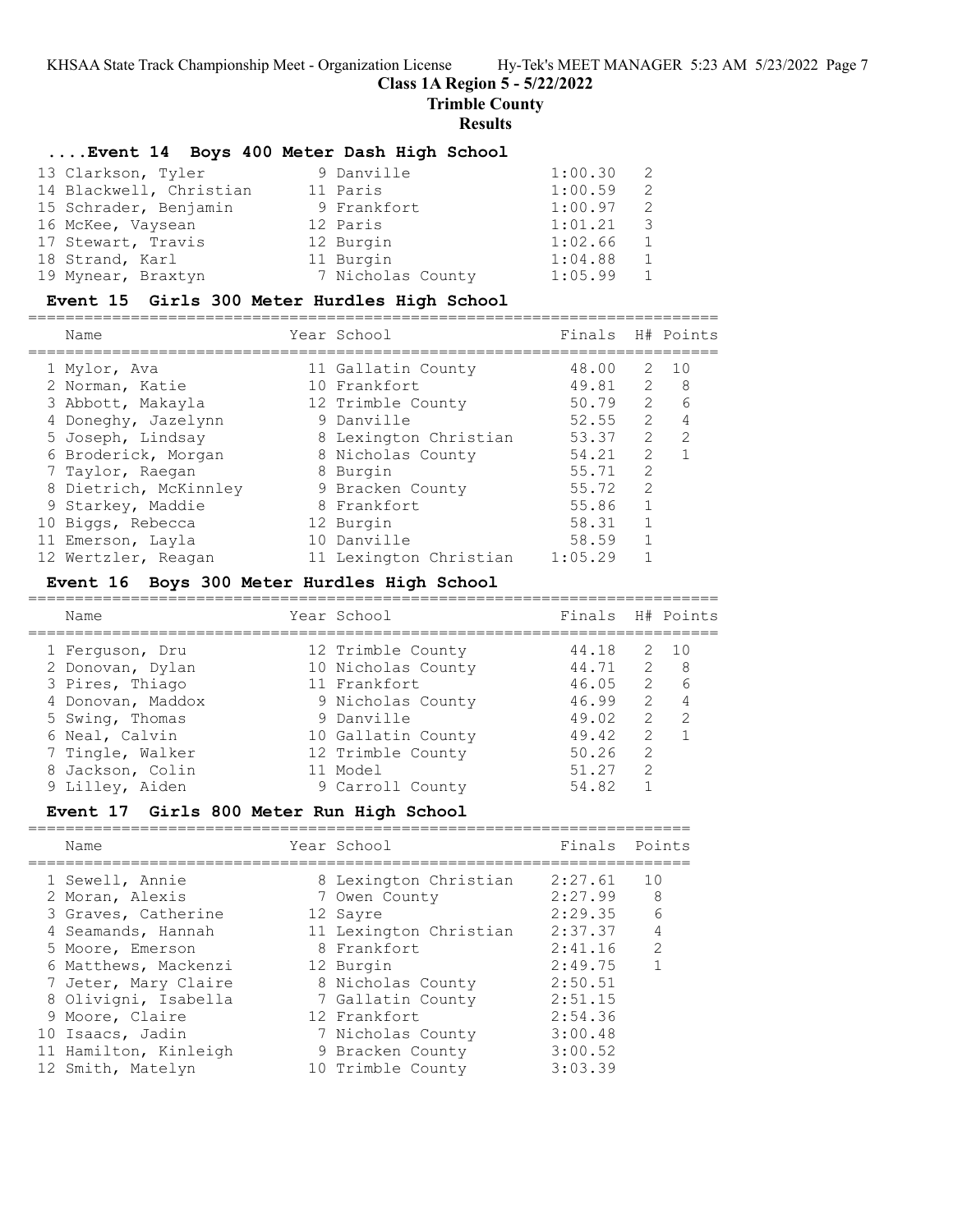### **Class 1A Region 5 - 5/22/2022**

**Trimble County**

#### **Results**

### **....Event 14 Boys 400 Meter Dash High School**

| 13 Clarkson, Tyler      | 9 Danville        | 1:00.30 |   |
|-------------------------|-------------------|---------|---|
| 14 Blackwell, Christian | 11 Paris          | 1:00.59 | 2 |
| 15 Schrader, Benjamin   | 9 Frankfort       | 1:00.97 | 2 |
| 16 McKee, Vaysean       | 12 Paris          | 1:01.21 | 3 |
| 17 Stewart, Travis      | 12 Burgin         | 1:02.66 |   |
| 18 Strand, Karl         | 11 Burgin         | 1:04.88 |   |
| 19 Mynear, Braxtyn      | 7 Nicholas County | 1:05.99 |   |

### **Event 15 Girls 300 Meter Hurdles High School**

========================================================================== Name Year School Finals H# Points

| Nallle                |  | Filldis                                                                                                                                                                                                                                 |               | H# POINLS      |
|-----------------------|--|-----------------------------------------------------------------------------------------------------------------------------------------------------------------------------------------------------------------------------------------|---------------|----------------|
| 1 Mylor, Ava          |  | 48.00                                                                                                                                                                                                                                   | 2             | 10             |
| 2 Norman, Katie       |  |                                                                                                                                                                                                                                         | 2             | - 8            |
| 3 Abbott, Makayla     |  | 50.79                                                                                                                                                                                                                                   | $\mathcal{L}$ | 6              |
| 4 Doneghy, Jazelynn   |  | 52.55                                                                                                                                                                                                                                   | 2             | 4              |
| 5 Joseph, Lindsay     |  |                                                                                                                                                                                                                                         | $\mathcal{L}$ | 2              |
| 6 Broderick, Morgan   |  | 54.21                                                                                                                                                                                                                                   | 2             |                |
| 7 Taylor, Raegan      |  | 55.71                                                                                                                                                                                                                                   | 2             |                |
| 8 Dietrich, McKinnley |  | 55.72                                                                                                                                                                                                                                   | 2             |                |
| 9 Starkey, Maddie     |  | 55.86                                                                                                                                                                                                                                   |               |                |
| 10 Biggs, Rebecca     |  | 58.31                                                                                                                                                                                                                                   |               |                |
| 11 Emerson, Layla     |  | 58.59                                                                                                                                                                                                                                   | 1             |                |
| 12 Wertzler, Reagan   |  | 1:05.29                                                                                                                                                                                                                                 |               |                |
|                       |  | IEAL SCHOOT<br>11 Gallatin County<br>10 Frankfort<br>12 Trimble County<br>9 Danville<br>8 Lexington Christian<br>8 Nicholas County<br>8 Burgin<br>9 Bracken County<br>8 Frankfort<br>12 Burgin<br>10 Danville<br>11 Lexington Christian |               | 49.81<br>53.37 |

#### **Event 16 Boys 300 Meter Hurdles High School**

========================================================================== Name The Year School Tinals H# Points ========================================================================== 1 Ferguson, Dru 12 Trimble County 44.18 2 10 2 Donovan, Dylan 10 Nicholas County 44.71 2 8 3 Pires, Thiago 11 Frankfort 46.05 2 6 4 Donovan, Maddox 9 Nicholas County 46.99 2 4 5 Swing, Thomas 9 Danville 49.02 2 2 6 Neal, Calvin 10 Gallatin County 49.42 2 1 7 Tingle, Walker 12 Trimble County 50.26 2 8 Jackson, Colin 11 Model 51.27 2 9 Lilley, Aiden 9 Carroll County 54.82 1

# **Event 17 Girls 800 Meter Run High School**

======================================================================= Name **The Year School** Finals Points ======================================================================= 1 Sewell, Annie 8 Lexington Christian 2:27.61 10 2 Moran, Alexis 7 Owen County 2:27.99 8

| 3 Graves, Catherine   | 12 Sayre               | 2:29.35 | 6             |
|-----------------------|------------------------|---------|---------------|
| 4 Seamands, Hannah    | 11 Lexington Christian | 2:37.37 | 4             |
| 5 Moore, Emerson      | 8 Frankfort            | 2:41.16 | $\mathcal{L}$ |
| 6 Matthews, Mackenzi  | 12 Burgin              | 2:49.75 |               |
| 7 Jeter, Mary Claire  | 8 Nicholas County      | 2:50.51 |               |
| 8 Olivigni, Isabella  | 7 Gallatin County      | 2:51.15 |               |
| 9 Moore, Claire       | 12 Frankfort           | 2:54.36 |               |
| 10 Isaacs, Jadin      | 7 Nicholas County      | 3:00.48 |               |
| 11 Hamilton, Kinleigh | 9 Bracken County       | 3:00.52 |               |
| 12 Smith, Matelyn     | 10 Trimble County      | 3:03.39 |               |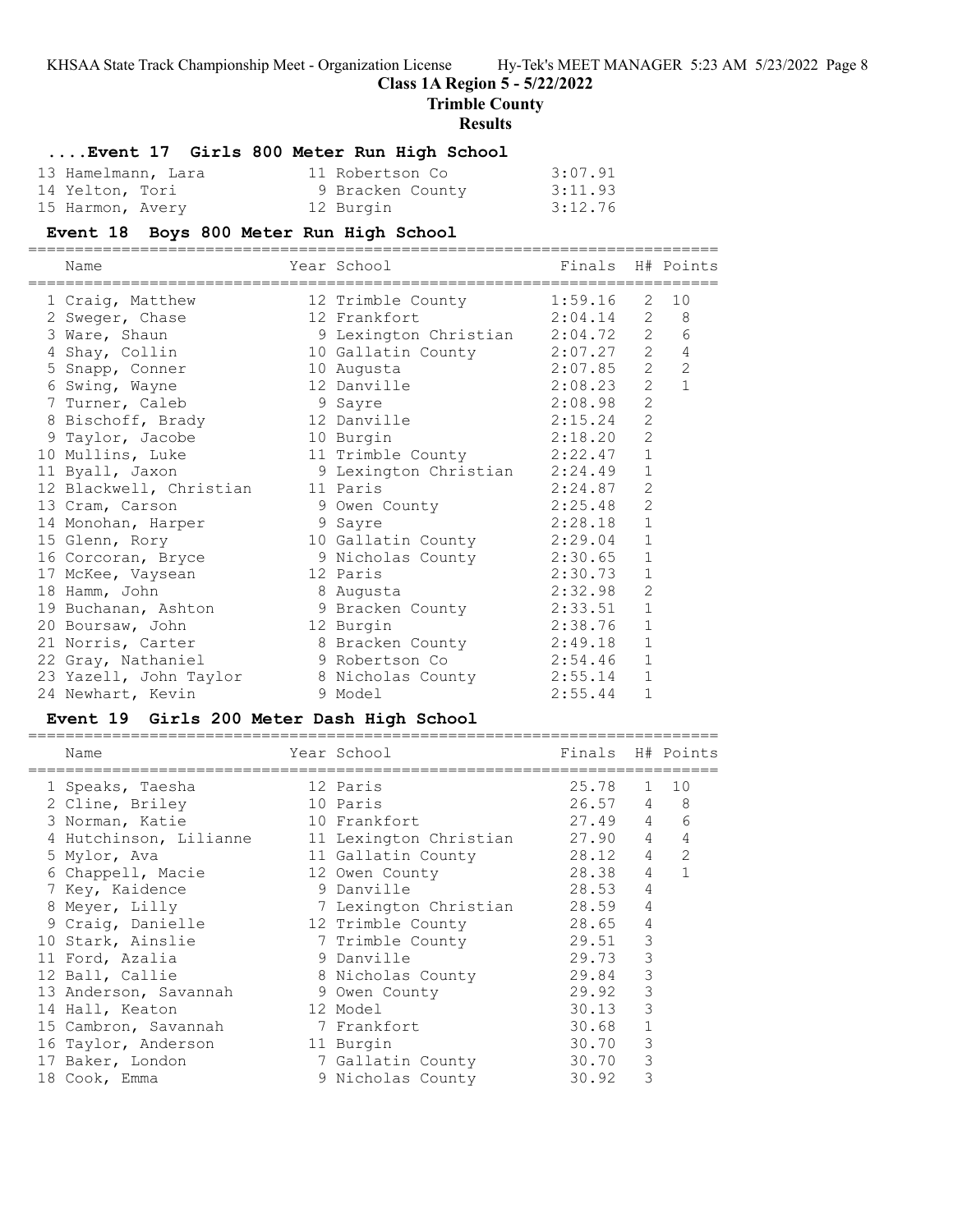# **Class 1A Region 5 - 5/22/2022**

**Trimble County**

## **Results**

# **....Event 17 Girls 800 Meter Run High School**

| 13 Hamelmann, Lara | 11 Robertson Co  | 3:07.91 |
|--------------------|------------------|---------|
| 14 Yelton, Tori    | 9 Bracken County | 3:11.93 |
| 15 Harmon, Avery   | 12 Burgin        | 3:12.76 |

# **Event 18 Boys 800 Meter Run High School**

| =============================                    |                                 |                  |                |                |
|--------------------------------------------------|---------------------------------|------------------|----------------|----------------|
| Name                                             | Year School                     | Finals H# Points |                |                |
| 1 Craig, Matthew                                 | 12 Trimble County 1:59.16       |                  | 2              | 10             |
| 2 Sweger, Chase                                  | 2:04.14<br>12 Frankfort         |                  | 2              | 8              |
| 3 Ware, Shaun                                    | 9 Lexington Christian 2:04.72 2 |                  |                | 6              |
| 4 Shay, Collin                                   | 10 Gallatin County              | $2:07.27$ 2      |                | $\overline{4}$ |
| 5 Snapp, Conner                                  | 10 Augusta                      | 2:07.85          | 2              | $\overline{c}$ |
| 6 Swing, Wayne                                   | 12 Danville                     | 2:08.23          | 2              | $\overline{1}$ |
| 7 Turner, Caleb                                  | 9 Sayre                         | 2:08.98          | 2              |                |
| 8 Bischoff, Brady                                | 12 Danville                     | 2:15.24          | $\overline{2}$ |                |
| 9 Taylor, Jacobe                                 | 10 Burgin                       | 2:18.20          | $\overline{2}$ |                |
| 10 Mullins, Luke                                 | 11 Trimble County               | 2:22.47          | $\mathbf{1}$   |                |
| 11 Byall, Jaxon                                  | 9 Lexington Christian           | 2:24.49          | $\mathbf{1}$   |                |
| 12 Blackwell, Christian 11 Paris                 |                                 | 2:24.87          | $\overline{2}$ |                |
| 13 Cram, Carson                                  | 9 Owen County                   | 2:25.48          | $\overline{2}$ |                |
| 14 Monohan, Harper                               | 2:28.18<br>9 Sayre              |                  | $\mathbf{1}$   |                |
| 15 Glenn, Rory                                   | 10 Gallatin County 2:29.04      |                  | $\mathbf{1}$   |                |
| 16 Corcoran, Bryce                               | 9 Nicholas County               | 2:30.65          | $\mathbf{1}$   |                |
| 17 McKee, Vaysean                                | 2:30.73<br>12 Paris             |                  | $\mathbf{1}$   |                |
| 18 Hamm, John                                    | 8 Augusta                       | 2:32.98          | $\overline{2}$ |                |
| 19 Buchanan, Ashton                              | 9 Bracken County 2:33.51        |                  | $\mathbf{1}$   |                |
| 20 Boursaw, John                                 | 12 Burgin                       | 2:38.76          | $\mathbf{1}$   |                |
| 21 Norris, Carter                                | 8 Bracken County 2:49.18        |                  | $\mathbf{1}$   |                |
| 22 Gray, Nathaniel                               | 9 Robertson Co                  | 2:54.46          | $\mathbf{1}$   |                |
| 23 Yazell, John Taylor 8 Nicholas County 2:55.14 |                                 |                  | $\mathbf{1}$   |                |
| 24 Newhart, Kevin                                | 9 Model                         | 2:55.44          | $\mathbf{1}$   |                |
|                                                  |                                 |                  |                |                |

## **Event 19 Girls 200 Meter Dash High School**

| Name                             | Year School            | Finals H# Points |                 |                |
|----------------------------------|------------------------|------------------|-----------------|----------------|
| 1 Speaks, Taesha                 | 12 Paris               | 25.78 1 10       |                 |                |
| 2 Cline, Briley                  | 10 Paris               | $26.57$ 4 8      |                 |                |
| 3 Norman, Katie                  | 10 Frankfort           | 27.49 4          |                 | 6              |
| 4 Hutchinson, Lilianne           | 11 Lexington Christian | 27.90            | $4\overline{ }$ | $\overline{4}$ |
| 5 Mylor, Ava                     | 11 Gallatin County     | 28.12            | $4\degree$      | 2              |
| 6 Chappell, Macie                | 12 Owen County         | 28.38            | $4^{\circ}$     | $\mathbf{1}$   |
| 7 Key, Kaidence                  | 9 Danville             | 28.53            | 4               |                |
| 8 Meyer, Lilly                   | 7 Lexington Christian  | 28.59            | $\overline{4}$  |                |
| 9 Craiq, Danielle                | 12 Trimble County      | 28.65            | 4               |                |
| 10 Stark, Ainslie                | 7 Trimble County       | 29.51            | 3               |                |
| 11 Ford, Azalia                  | 9 Danville             | 29.73            | 3               |                |
| 12 Ball, Callie                  | 8 Nicholas County      | 29.84            | 3               |                |
| 13 Anderson, Savannah            | 9 Owen County          | 29.92            | 3               |                |
| 14 Hall, Keaton                  | 12 Model               | 30.13            | 3               |                |
| 15 Cambron, Savannah 7 Frankfort |                        | 30.68            |                 |                |
| 16 Taylor, Anderson              | 11 Burgin              | 30.70            | 3               |                |
| 17 Baker, London                 | 7 Gallatin County      | 30.70            | 3               |                |
| 18 Cook, Emma                    | 9 Nicholas County      | 30.92            | 3               |                |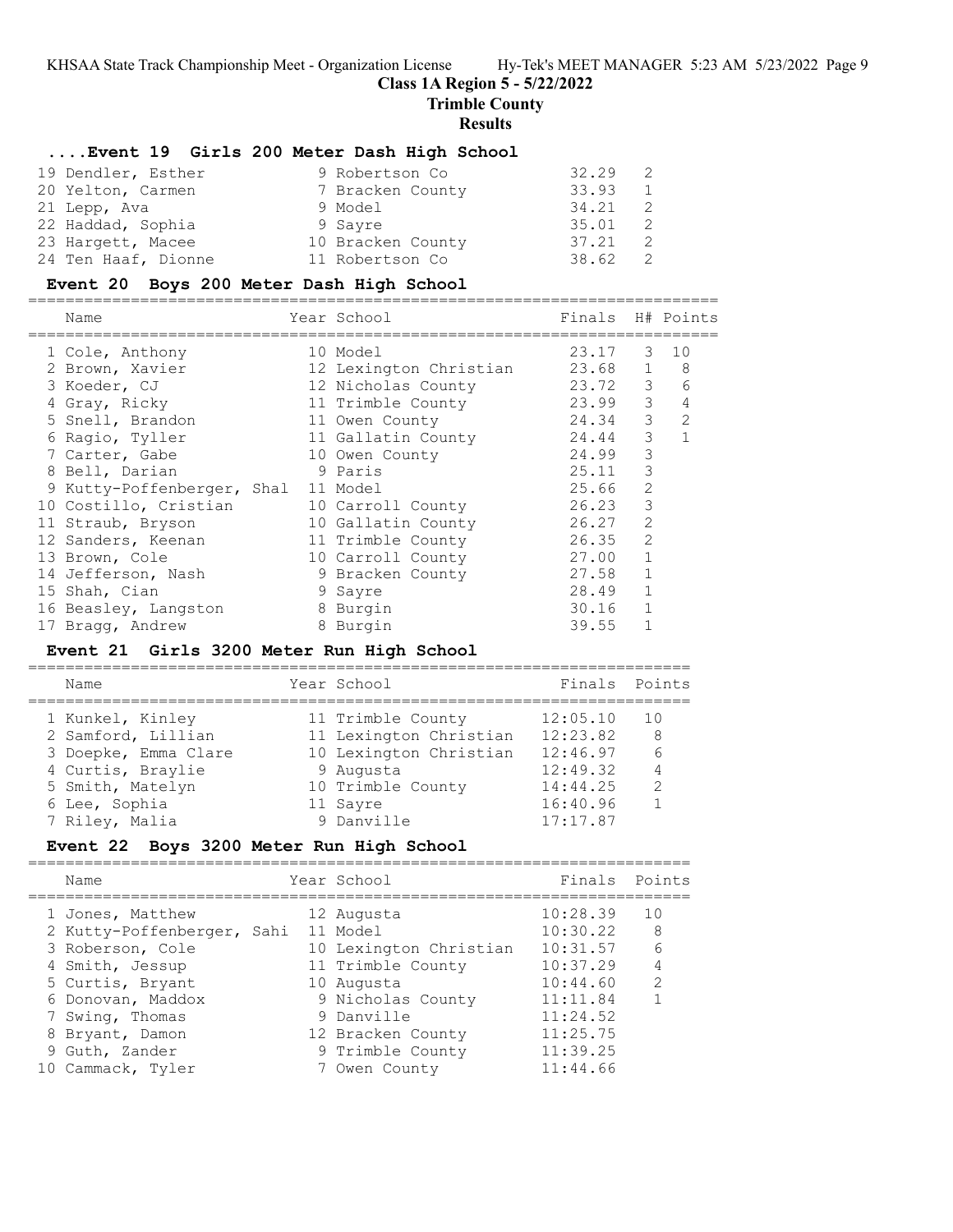# **Class 1A Region 5 - 5/22/2022**

**Trimble County**

### **Results**

## **....Event 19 Girls 200 Meter Dash High School**

| 19 Dendler, Esther  |         | 9 Robertson Co    | 32.29 |  |
|---------------------|---------|-------------------|-------|--|
| 20 Yelton, Carmen   |         | 7 Bracken County  | 33.93 |  |
| 21 Lepp, Ava        | 9 Model |                   | 34.21 |  |
| 22 Haddad, Sophia   | 9 Sayre |                   | 35.01 |  |
| 23 Hargett, Macee   |         | 10 Bracken County | 37.21 |  |
| 24 Ten Haaf, Dionne |         | 11 Robertson Co   | 38.62 |  |

## **Event 20 Boys 200 Meter Dash High School**

==========================================================================

| Name                  |                            | Finals                                                                                                                                                                                                                                                                                                                    |                | H# Points      |
|-----------------------|----------------------------|---------------------------------------------------------------------------------------------------------------------------------------------------------------------------------------------------------------------------------------------------------------------------------------------------------------------------|----------------|----------------|
| 1 Cole, Anthony       |                            | 23.17                                                                                                                                                                                                                                                                                                                     | 3              | 10             |
| 2 Brown, Xavier       |                            | 23.68                                                                                                                                                                                                                                                                                                                     | $\mathbf{1}$   | 8              |
| 3 Koeder, CJ          |                            | 23.72                                                                                                                                                                                                                                                                                                                     | 3              | 6              |
| 4 Gray, Ricky         |                            | 23.99                                                                                                                                                                                                                                                                                                                     | 3              | 4              |
| 5 Snell, Brandon      |                            | 24.34                                                                                                                                                                                                                                                                                                                     | 3              | $\overline{2}$ |
| 6 Ragio, Tyller       |                            | 24.44                                                                                                                                                                                                                                                                                                                     | 3              |                |
| 7 Carter, Gabe        |                            | 24.99                                                                                                                                                                                                                                                                                                                     | 3              |                |
| 8 Bell, Darian        |                            | 25.11                                                                                                                                                                                                                                                                                                                     | 3              |                |
|                       |                            | 25.66                                                                                                                                                                                                                                                                                                                     | 2              |                |
| 10 Costillo, Cristian |                            | 26.23                                                                                                                                                                                                                                                                                                                     | 3              |                |
| 11 Straub, Bryson     |                            | 26.27                                                                                                                                                                                                                                                                                                                     | 2              |                |
| 12 Sanders, Keenan    |                            | 26.35                                                                                                                                                                                                                                                                                                                     | $\overline{2}$ |                |
| 13 Brown, Cole        |                            | 27.00                                                                                                                                                                                                                                                                                                                     |                |                |
| 14 Jefferson, Nash    |                            | 27.58                                                                                                                                                                                                                                                                                                                     |                |                |
| 15 Shah, Cian         |                            | 28.49                                                                                                                                                                                                                                                                                                                     |                |                |
| 16 Beasley, Langston  |                            | 30.16                                                                                                                                                                                                                                                                                                                     |                |                |
| 17 Bragg, Andrew      |                            | 39.55                                                                                                                                                                                                                                                                                                                     |                |                |
|                       | 9 Kutty-Poffenberger, Shal | Year School<br>10 Model<br>12 Lexington Christian<br>12 Nicholas County<br>11 Trimble County<br>11 Owen County<br>11 Gallatin County<br>10 Owen County<br>9 Paris<br>11 Model<br>10 Carroll County<br>10 Gallatin County<br>11 Trimble County<br>10 Carroll County<br>9 Bracken County<br>9 Sayre<br>8 Burgin<br>8 Burgin |                |                |

# **Event 21 Girls 3200 Meter Run High School**

=======================================================================

| Name                 | Year School            | Finals Points |               |
|----------------------|------------------------|---------------|---------------|
| 1 Kunkel, Kinley     | 11 Trimble County      | 12:05.10      | 10            |
| 2 Samford, Lillian   | 11 Lexington Christian | 12:23.82      | 8             |
| 3 Doepke, Emma Clare | 10 Lexington Christian | 12:46.97      | 6             |
| 4 Curtis, Braylie    | 9 Augusta              | 12:49.32      | 4             |
| 5 Smith, Matelyn     | 10 Trimble County      | 14:44.25      | $\mathcal{L}$ |
| 6 Lee, Sophia        | 11 Sayre               | 16:40.96      |               |
| 7 Riley, Malia       | 9 Danville             | 17:17.87      |               |
|                      |                        |               |               |

# **Event 22 Boys 3200 Meter Run High School**

| Name                       | Year School            | Finals Points |               |
|----------------------------|------------------------|---------------|---------------|
| 1 Jones, Matthew           | 12 Augusta             | 10:28.39      | 10            |
| 2 Kutty-Poffenberger, Sahi | 11 Model               | 10:30.22      | 8             |
| 3 Roberson, Cole           | 10 Lexington Christian | 10:31.57      | 6             |
| 4 Smith, Jessup            | 11 Trimble County      | 10:37.29      | 4             |
| 5 Curtis, Bryant           | 10 Augusta             | 10:44.60      | $\mathcal{P}$ |
| 6 Donovan, Maddox          | 9 Nicholas County      | 11:11.84      |               |
| 7 Swing, Thomas            | 9 Danville             | 11:24.52      |               |
| 8 Bryant, Damon            | 12 Bracken County      | 11:25.75      |               |
| 9 Guth, Zander             | 9 Trimble County       | 11:39.25      |               |
| 10 Cammack, Tyler          | Owen County            | 11:44.66      |               |
|                            |                        |               |               |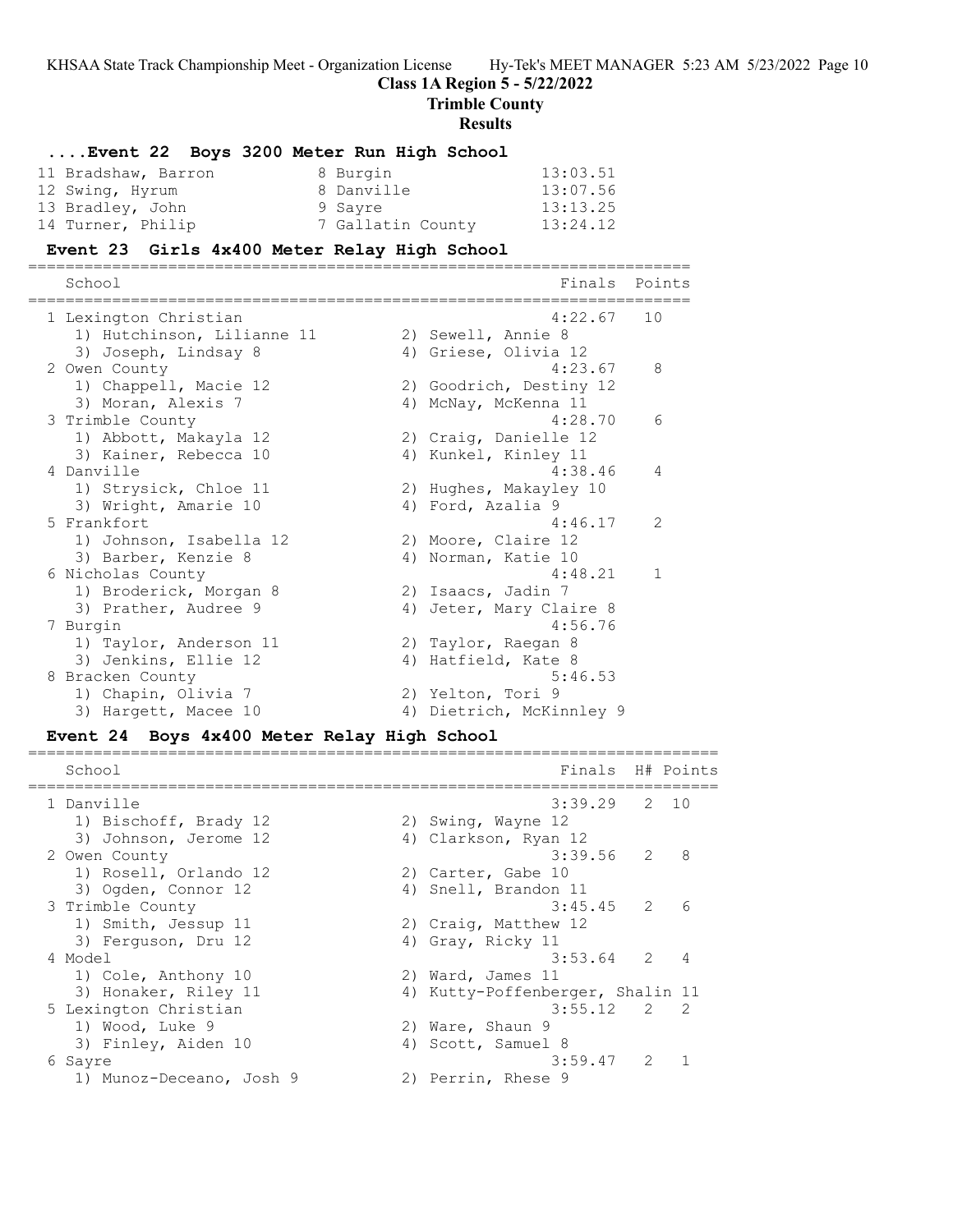**Trimble County**

**Results**

| Event 22 Boys 3200 Meter Run High School     |                                  |                    |
|----------------------------------------------|----------------------------------|--------------------|
| 8 Burgin<br>11 Bradshaw, Barron              | 13:03.51                         |                    |
| 12 Swing, Hyrum<br>8 Danville                | 13:07.56                         |                    |
| 13 Bradley, John<br>9 Sayre                  | 13:13.25                         |                    |
| 14 Turner, Philip                            | 13:24.12<br>7 Gallatin County    |                    |
|                                              |                                  |                    |
| Event 23 Girls 4x400 Meter Relay High School |                                  |                    |
| School                                       | Finals                           | Points             |
| 1 Lexington Christian                        | 4:22.67                          | 10                 |
| 1) Hutchinson, Lilianne 11                   | 2) Sewell, Annie 8               |                    |
| 3) Joseph, Lindsay 8                         | 4) Griese, Olivia 12             |                    |
| 2 Owen County                                | 4:23.67                          | 8                  |
| 1) Chappell, Macie 12                        | 2) Goodrich, Destiny 12          |                    |
| 3) Moran, Alexis 7                           | 4) McNay, McKenna 11             |                    |
| 3 Trimble County                             | 4:28.70                          | 6                  |
| 1) Abbott, Makayla 12                        | 2) Craig, Danielle 12            |                    |
| 3) Kainer, Rebecca 10                        | 4) Kunkel, Kinley 11             |                    |
| 4 Danville                                   | 4:38.46                          | 4                  |
| 1) Strysick, Chloe 11                        | 2) Hughes, Makayley 10           |                    |
| 3) Wright, Amarie 10                         | 4) Ford, Azalia 9                |                    |
| 5 Frankfort                                  | 4:46.17                          | 2                  |
| 1) Johnson, Isabella 12                      | 2) Moore, Claire 12              |                    |
| 3) Barber, Kenzie 8                          | 4) Norman, Katie 10              |                    |
| 6 Nicholas County                            | 4:48.21                          | 1                  |
| 1) Broderick, Morgan 8                       | 2) Isaacs, Jadin 7               |                    |
| 3) Prather, Audree 9                         | 4) Jeter, Mary Claire 8          |                    |
| 7 Burgin                                     | 4:56.76                          |                    |
| 1) Taylor, Anderson 11                       | 2) Taylor, Raegan 8              |                    |
| 3) Jenkins, Ellie 12                         | 4) Hatfield, Kate 8              |                    |
| 8 Bracken County                             | 5:46.53                          |                    |
| 1) Chapin, Olivia 7                          | 2) Yelton, Tori 9                |                    |
| 3) Hargett, Macee 10                         | 4) Dietrich, McKinnley 9         |                    |
| Event 24 Boys 4x400 Meter Relay High School  |                                  |                    |
| School                                       | Finals H# Points                 |                    |
|                                              | --------------------             |                    |
| 1 Danville                                   | 3:39.29                          | $\mathbf{2}$<br>10 |
| 1) Bischoff, Brady 12                        | 2) Swing, Wayne 12               |                    |
| 3) Johnson, Jerome 12                        | 4) Clarkson, Ryan 12             |                    |
| 2 Owen County                                | 3:39.56                          | 2<br>8             |
| 1) Rosell, Orlando 12                        | 2) Carter, Gabe 10               |                    |
| 3) Ogden, Connor 12                          | 4) Snell, Brandon 11             |                    |
| 3 Trimble County                             | 3:45.45                          | 2<br>6             |
| 1) Smith, Jessup 11                          | 2) Craig, Matthew 12             |                    |
| 3) Ferguson, Dru 12                          | 4) Gray, Ricky 11                |                    |
| 4 Model                                      | 3:53.64                          | 2<br>4             |
| 1) Cole, Anthony 10                          | 2) Ward, James 11                |                    |
| 3) Honaker, Riley 11                         | 4) Kutty-Poffenberger, Shalin 11 |                    |
| 5 Lexington Christian                        | 3:55.12                          | 2<br>2             |
| 1) Wood, Luke 9                              | 2) Ware, Shaun 9                 |                    |
| 3) Finley, Aiden 10                          | 4) Scott, Samuel 8               |                    |
| 6 Sayre                                      | 3:59.47                          | 2<br>1             |
| 1) Munoz-Deceano, Josh 9                     | 2) Perrin, Rhese 9               |                    |